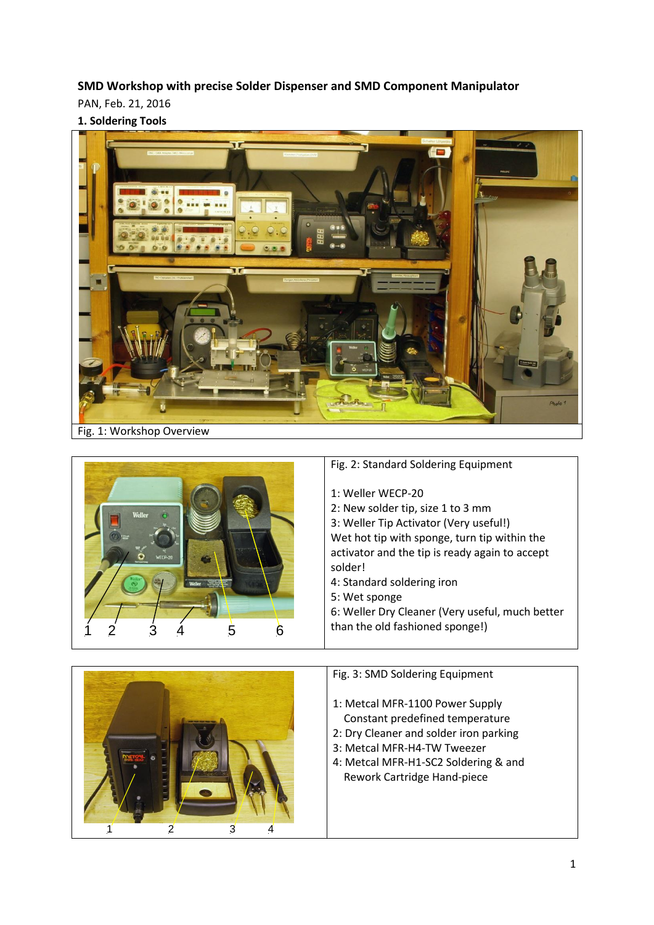**SMD Workshop with precise Solder Dispenser and SMD Component Manipulator**

PAN, Feb. 21, 2016

**1. Soldering Tools**





1 2 3 4

- 1: Metcal MFR-1100 Power Supply Constant predefined temperature
- 2: Dry Cleaner and solder iron parking
- 3: Metcal MFR-H4-TW Tweezer
- 4: Metcal MFR-H1-SC2 Soldering & and Rework Cartridge Hand-piece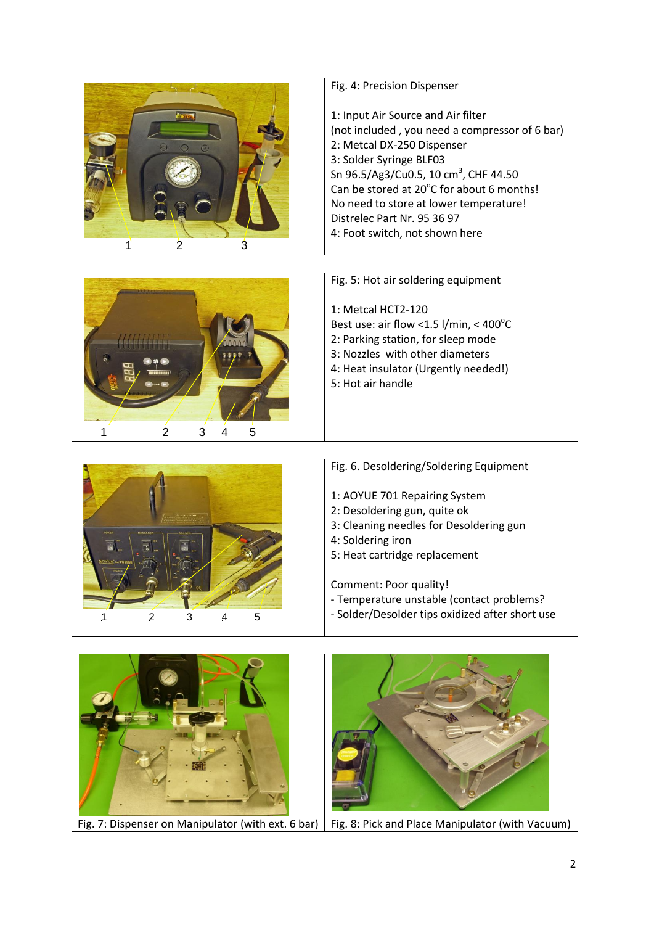| mero<br>2<br>3 | Fig. 4: Precision Dispenser<br>1: Input Air Source and Air filter<br>(not included, you need a compressor of 6 bar)<br>2: Metcal DX-250 Dispenser<br>3: Solder Syringe BLF03<br>Sn 96.5/Ag3/Cu0.5, 10 cm <sup>3</sup> , CHF 44.50<br>Can be stored at 20°C for about 6 months!<br>No need to store at lower temperature!<br>Distrelec Part Nr. 95 36 97<br>4: Foot switch, not shown here |
|----------------|-------------------------------------------------------------------------------------------------------------------------------------------------------------------------------------------------------------------------------------------------------------------------------------------------------------------------------------------------------------------------------------------|
|                | Fig. 5: Hot air soldering equipment<br>1: Metcal HCT2-120<br>Best use: air flow < 1.5 l/min, < $400^{\circ}$ C<br>2: Parking station, for sleep mode<br>3: Nozzles with other diameters<br>4: Heat insulator (Urgently needed!)<br>5: Hot air handle                                                                                                                                      |



1 2 3 4 5

- Fig. 6. Desoldering/Soldering Equipment
- 1: AOYUE 701 Repairing System
- 2: Desoldering gun, quite ok
- 3: Cleaning needles for Desoldering gun
- 4: Soldering iron
- 5: Heat cartridge replacement

Comment: Poor quality!

- Temperature unstable (contact problems?
- Solder/Desolder tips oxidized after short use

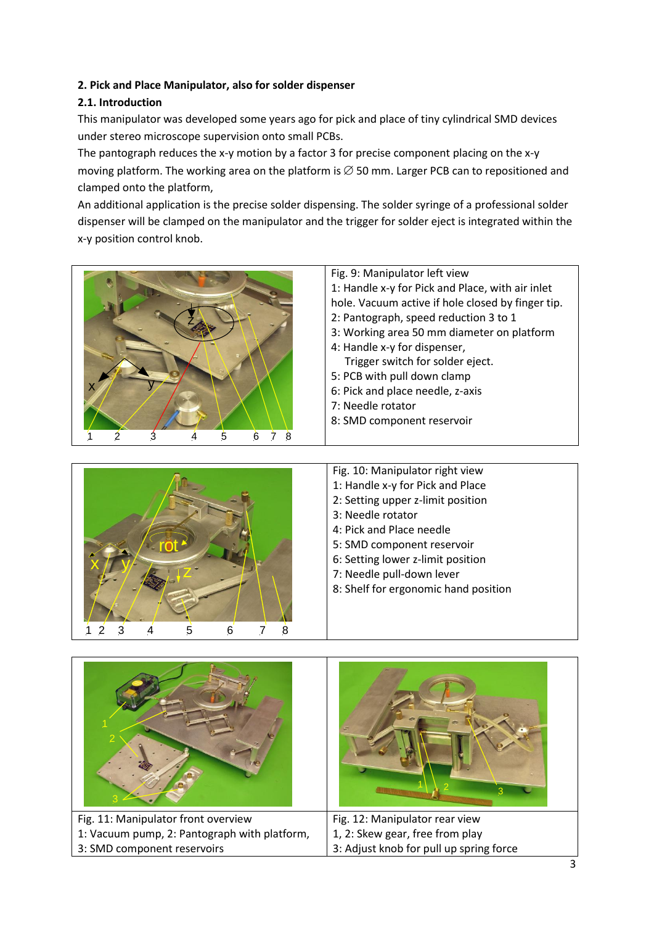## **2. Pick and Place Manipulator, also for solder dispenser**

## **2.1. Introduction**

This manipulator was developed some years ago for pick and place of tiny cylindrical SMD devices under stereo microscope supervision onto small PCBs.

The pantograph reduces the x-y motion by a factor 3 for precise component placing on the x-y moving platform. The working area on the platform is  $\varnothing$  50 mm. Larger PCB can to repositioned and clamped onto the platform,

An additional application is the precise solder dispensing. The solder syringe of a professional solder dispenser will be clamped on the manipulator and the trigger for solder eject is integrated within the x-y position control knob.

| Fig. 9: Manipulator left view                     |
|---------------------------------------------------|
| 1: Handle x-y for Pick and Place, with air inlet  |
| hole. Vacuum active if hole closed by finger tip. |
| 2: Pantograph, speed reduction 3 to 1             |
| 3: Working area 50 mm diameter on platform        |
| 4: Handle x-y for dispenser,                      |
| Trigger switch for solder eject.                  |
| 5: PCB with pull down clamp                       |
| 6: Pick and place needle, z-axis                  |
| 7: Needle rotator                                 |
| 8: SMD component reservoir                        |
|                                                   |